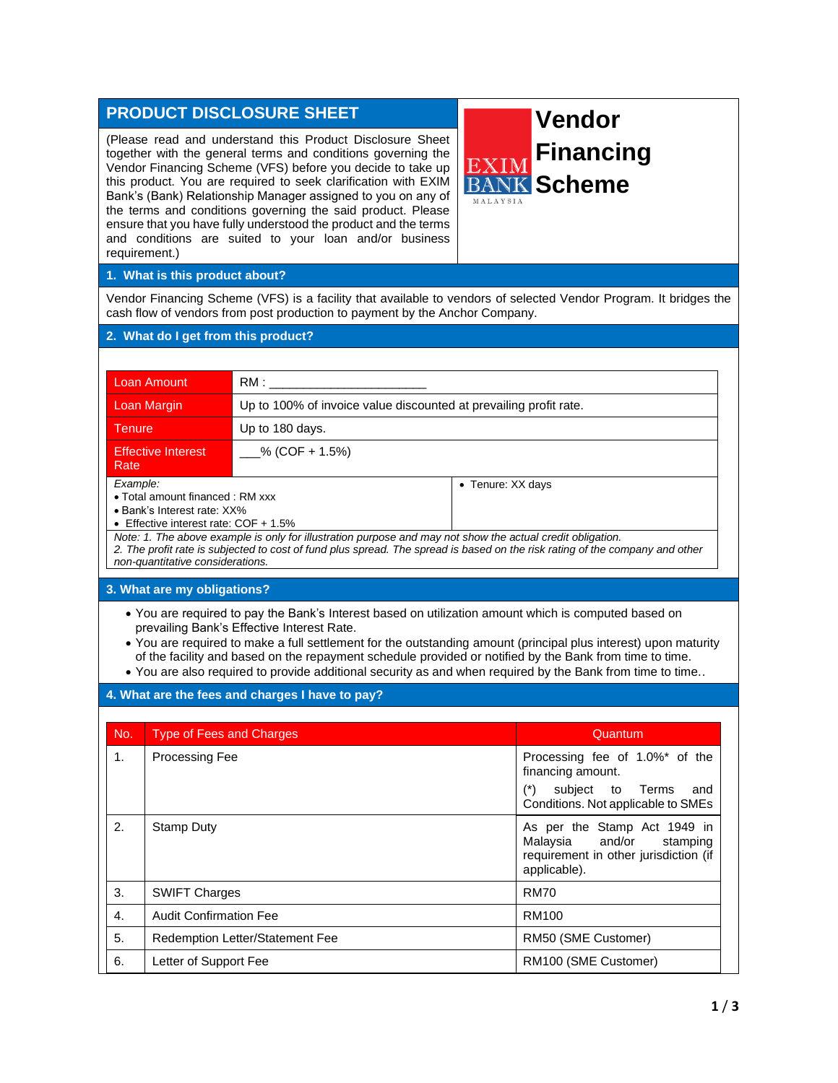## **PRODUCT DISCLOSURE SHEET**

(Please read and understand this Product Disclosure Sheet together with the general terms and conditions governing the Vendor Financing Scheme (VFS) before you decide to take up this product. You are required to seek clarification with EXIM Bank's (Bank) Relationship Manager assigned to you on any of the terms and conditions governing the said product. Please ensure that you have fully understood the product and the terms and conditions are suited to your loan and/or business requirement.)

# **Vendor Financing Scheme**MALAYSIA

#### **1. What is this product about?**

Vendor Financing Scheme (VFS) is a facility that available to vendors of selected Vendor Program. It bridges the cash flow of vendors from post production to payment by the Anchor Company.

#### **2. What do I get from this product?**

| Loan Amount                                                                                                                                                                                                                                                                                                                                                                                                                    |                                                                   |  |  |  |
|--------------------------------------------------------------------------------------------------------------------------------------------------------------------------------------------------------------------------------------------------------------------------------------------------------------------------------------------------------------------------------------------------------------------------------|-------------------------------------------------------------------|--|--|--|
| <b>Loan Margin</b>                                                                                                                                                                                                                                                                                                                                                                                                             | Up to 100% of invoice value discounted at prevailing profit rate. |  |  |  |
| Tenure                                                                                                                                                                                                                                                                                                                                                                                                                         | Up to 180 days.                                                   |  |  |  |
| <b>Effective Interest</b><br>Rate                                                                                                                                                                                                                                                                                                                                                                                              | $%$ (COF + 1.5%)                                                  |  |  |  |
| Example:<br>• Tenure: XX days<br>• Total amount financed : RM xxx<br>• Bank's Interest rate: XX%<br>• Effective interest rate: $COF + 1.5\%$<br>Note: 1. The above example is only for illustration purpose and may not show the actual credit obligation.<br>2. The profit rate is subjected to cost of fund plus spread. The spread is based on the risk rating of the company and other<br>non-quantitative considerations. |                                                                   |  |  |  |
| 3. What are my obligations?                                                                                                                                                                                                                                                                                                                                                                                                    |                                                                   |  |  |  |
| • You are required to pay the Bank's Interest based on utilization amount which is computed based on<br>prevailing Bank's Effective Interest Rate.                                                                                                                                                                                                                                                                             |                                                                   |  |  |  |

• You are required to make a full settlement for the outstanding amount (principal plus interest) upon maturity of the facility and based on the repayment schedule provided or notified by the Bank from time to time.

• You are also required to provide additional security as and when required by the Bank from time to time..

### **4. What are the fees and charges I have to pay?**

| No. | <b>Type of Fees and Charges</b>               | Quantum                                                                                                              |
|-----|-----------------------------------------------|----------------------------------------------------------------------------------------------------------------------|
| 1.  | Processing Fee                                | Processing fee of 1.0%* of the<br>financing amount.<br>subject to Terms<br>and<br>Conditions. Not applicable to SMEs |
| 2.  | Stamp Duty                                    | As per the Stamp Act 1949 in<br>Malaysia and/or stamping<br>requirement in other jurisdiction (if<br>applicable).    |
| 3.  | <b>SWIFT Charges</b>                          | <b>RM70</b>                                                                                                          |
| 4.  | <b>Audit Confirmation Fee</b>                 | RM100                                                                                                                |
| 5.  | <b>Redemption Letter/Statement Fee</b>        | RM50 (SME Customer)                                                                                                  |
| 6.  | RM100 (SME Customer)<br>Letter of Support Fee |                                                                                                                      |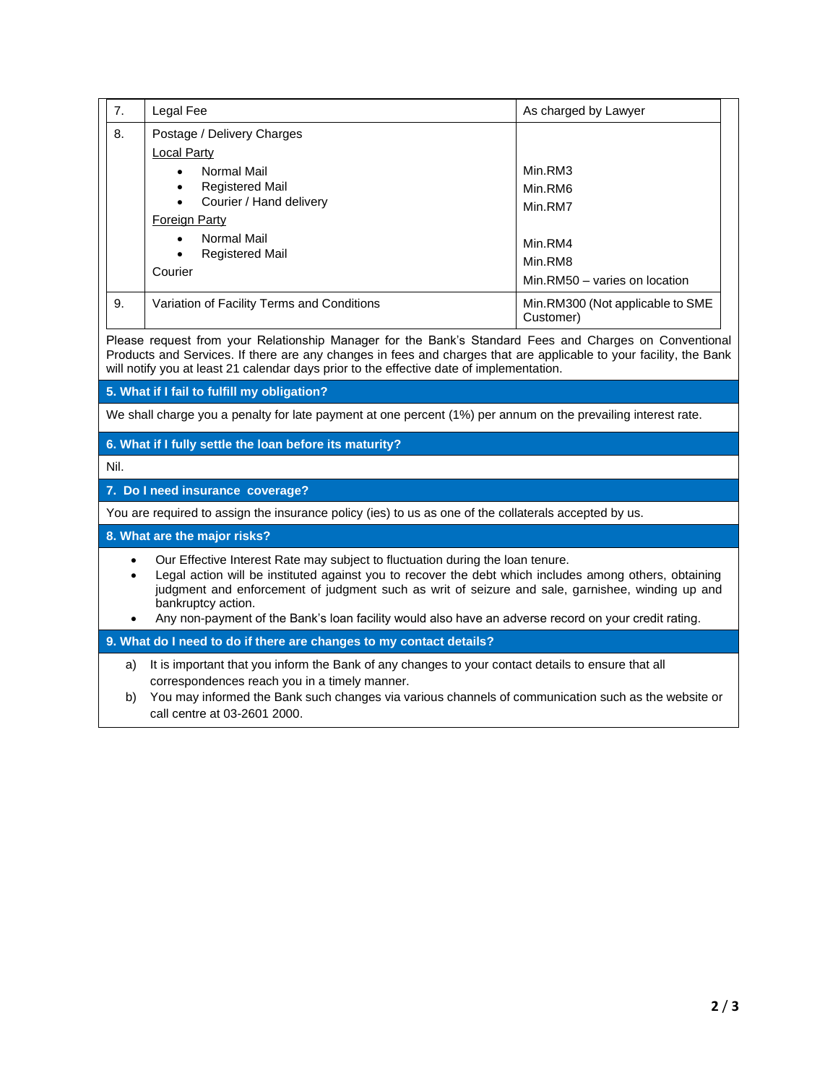| 7.                                                                                                                                                                                                                                                                                                                                                                                                                                      | Legal Fee                                                                                                                                           | As charged by Lawyer                          |  |  |
|-----------------------------------------------------------------------------------------------------------------------------------------------------------------------------------------------------------------------------------------------------------------------------------------------------------------------------------------------------------------------------------------------------------------------------------------|-----------------------------------------------------------------------------------------------------------------------------------------------------|-----------------------------------------------|--|--|
| 8.                                                                                                                                                                                                                                                                                                                                                                                                                                      | Postage / Delivery Charges<br><b>Local Party</b>                                                                                                    |                                               |  |  |
|                                                                                                                                                                                                                                                                                                                                                                                                                                         | Normal Mail<br>$\bullet$                                                                                                                            | Min.RM3                                       |  |  |
|                                                                                                                                                                                                                                                                                                                                                                                                                                         | <b>Registered Mail</b><br>$\bullet$<br>Courier / Hand delivery<br>$\bullet$                                                                         | Min.RM6                                       |  |  |
|                                                                                                                                                                                                                                                                                                                                                                                                                                         | <b>Foreign Party</b>                                                                                                                                | Min.RM7                                       |  |  |
|                                                                                                                                                                                                                                                                                                                                                                                                                                         | Normal Mail                                                                                                                                         |                                               |  |  |
|                                                                                                                                                                                                                                                                                                                                                                                                                                         | <b>Registered Mail</b>                                                                                                                              | Min.RM4                                       |  |  |
|                                                                                                                                                                                                                                                                                                                                                                                                                                         | Courier                                                                                                                                             | Min.RM8                                       |  |  |
|                                                                                                                                                                                                                                                                                                                                                                                                                                         |                                                                                                                                                     | Min.RM50 - varies on location                 |  |  |
| 9.                                                                                                                                                                                                                                                                                                                                                                                                                                      | Variation of Facility Terms and Conditions                                                                                                          | Min.RM300 (Not applicable to SME<br>Customer) |  |  |
| Please request from your Relationship Manager for the Bank's Standard Fees and Charges on Conventional<br>Products and Services. If there are any changes in fees and charges that are applicable to your facility, the Bank<br>will notify you at least 21 calendar days prior to the effective date of implementation.                                                                                                                |                                                                                                                                                     |                                               |  |  |
|                                                                                                                                                                                                                                                                                                                                                                                                                                         | 5. What if I fail to fulfill my obligation?                                                                                                         |                                               |  |  |
| We shall charge you a penalty for late payment at one percent (1%) per annum on the prevailing interest rate.                                                                                                                                                                                                                                                                                                                           |                                                                                                                                                     |                                               |  |  |
|                                                                                                                                                                                                                                                                                                                                                                                                                                         | 6. What if I fully settle the loan before its maturity?                                                                                             |                                               |  |  |
| Nil.                                                                                                                                                                                                                                                                                                                                                                                                                                    |                                                                                                                                                     |                                               |  |  |
|                                                                                                                                                                                                                                                                                                                                                                                                                                         | 7. Do I need insurance coverage?                                                                                                                    |                                               |  |  |
| You are required to assign the insurance policy (ies) to us as one of the collaterals accepted by us.                                                                                                                                                                                                                                                                                                                                   |                                                                                                                                                     |                                               |  |  |
|                                                                                                                                                                                                                                                                                                                                                                                                                                         | 8. What are the major risks?                                                                                                                        |                                               |  |  |
| Our Effective Interest Rate may subject to fluctuation during the loan tenure.<br>$\bullet$<br>Legal action will be instituted against you to recover the debt which includes among others, obtaining<br>judgment and enforcement of judgment such as writ of seizure and sale, garnishee, winding up and<br>bankruptcy action.<br>Any non-payment of the Bank's loan facility would also have an adverse record on your credit rating. |                                                                                                                                                     |                                               |  |  |
|                                                                                                                                                                                                                                                                                                                                                                                                                                         |                                                                                                                                                     |                                               |  |  |
|                                                                                                                                                                                                                                                                                                                                                                                                                                         | 9. What do I need to do if there are changes to my contact details?                                                                                 |                                               |  |  |
| a)                                                                                                                                                                                                                                                                                                                                                                                                                                      | It is important that you inform the Bank of any changes to your contact details to ensure that all<br>correspondences reach you in a timely manner. |                                               |  |  |
| b)                                                                                                                                                                                                                                                                                                                                                                                                                                      | You may informed the Bank such changes via various channels of communication such as the website or<br>call centre at 03-2601 2000.                 |                                               |  |  |